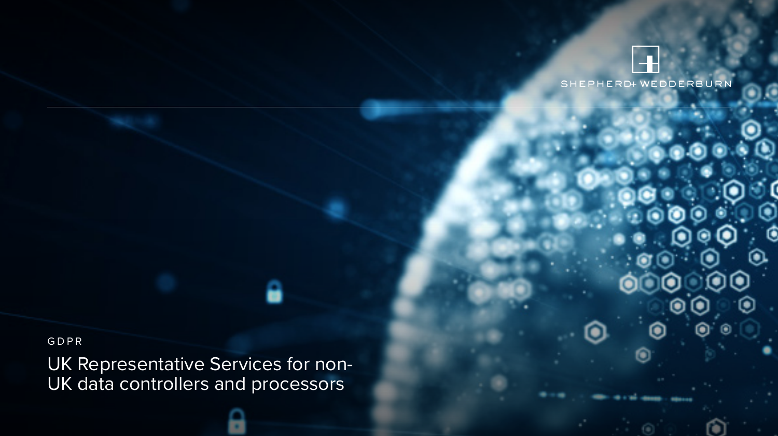

## GDPR

UK Representative Services for non-UK data controllers and processors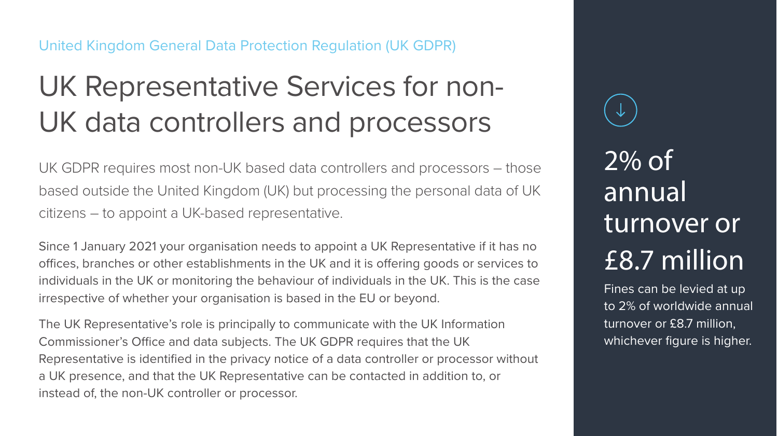## United Kingdom General Data Protection Regulation (UK GDPR)

## UK Representative Services for non-UK data controllers and processors

UK GDPR requires most non-UK based data controllers and processors – those based outside the United Kingdom (UK) but processing the personal data of UK citizens – to appoint a UK-based representative.

Since 1 January 2021 your organisation needs to appoint a UK Representative if it has no offices, branches or other establishments in the UK and it is offering goods or services to individuals in the UK or monitoring the behaviour of individuals in the UK. This is the case irrespective of whether your organisation is based in the EU or beyond.

The UK Representative's role is principally to communicate with the UK Information Commissioner's Office and data subjects. The UK GDPR requires that the UK Representative is identified in the privacy notice of a data controller or processor without a UK presence, and that the UK Representative can be contacted in addition to, or instead of, the non-UK controller or processor.

2% of annual turnover or £8.7 million

Fines can be levied at up to 2% of worldwide annual turnover or £8.7 million, whichever figure is higher.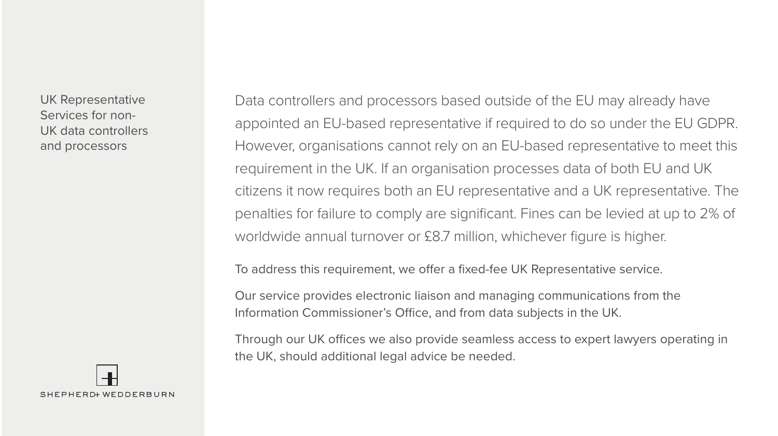UK Representative Services for non-UK data controllers and processors

Data controllers and processors based outside of the EU may already have appointed an EU-based representative if required to do so under the EU GDPR. However, organisations cannot rely on an EU-based representative to meet this requirement in the UK. If an organisation processes data of both EU and UK citizens it now requires both an EU representative and a UK representative. The penalties for failure to comply are significant. Fines can be levied at up to 2% of worldwide annual turnover or £8.7 million, whichever figure is higher.

To address this requirement, we offer a fixed-fee UK Representative service.

Our service provides electronic liaison and managing communications from the Information Commissioner's Office, and from data subjects in the UK.

Through our UK offices we also provide seamless access to expert lawyers operating in the UK, should additional legal advice be needed.

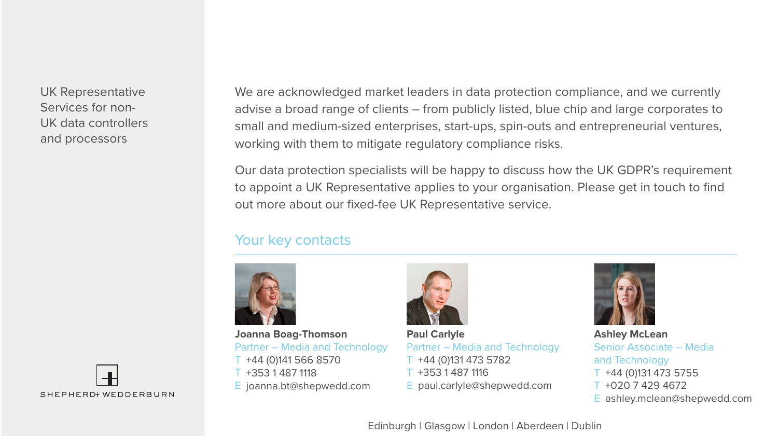UK Representative Services for non-UK data controllers and processors

We are acknowledged market leaders in data protection compliance, and we currently advise a broad range of clients – from publicly listed, blue chip and large corporates to small and medium-sized enterprises, start-ups, spin-outs and entrepreneurial ventures, working with them to mitigate regulatory compliance risks.

Our data protection specialists will be happy to discuss how the UK GDPR's requirement to appoint a UK Representative applies to your organisation. Please get in touch to find out more about our fixed-fee UK Representative service.

## Your key contacts



T +44 (0)141 566 8570 T +353 1 487 1118 E joanna.bt@shepwedd.com **Joanna Boag-Thomson** Partner – Media and Technology



T +44 (0)131 473 5782 T +353 1 487 1116 E paul.carlyle@shepwedd.com **Paul Carlyle** Partner – Media and Technology



T +44 (0)131 473 5755 T +020 7 429 4672 E ashley.mclean@shepwedd.com **Ashley McLean** Senior Associate – Media and Technology



Edinburgh | Glasgow | London | Aberdeen | Dublin